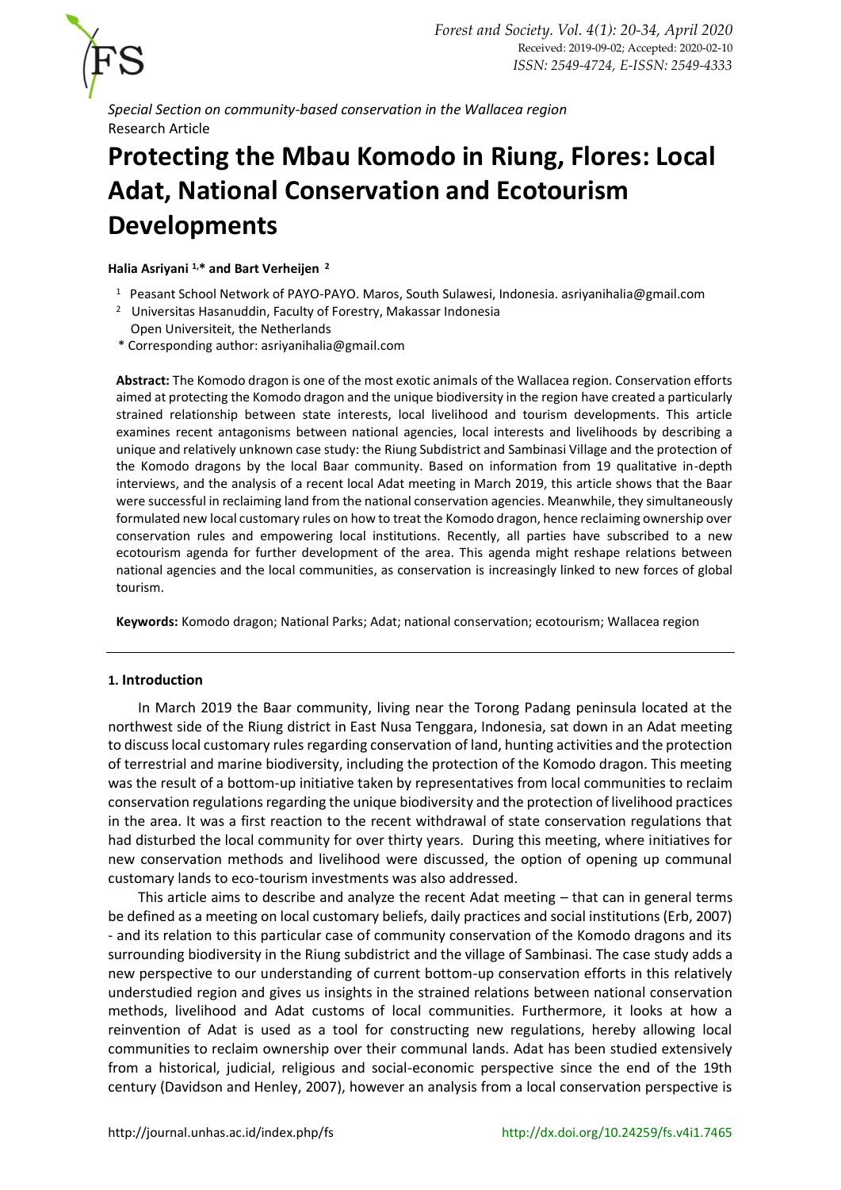

*Special Section on community-based conservation in the Wallacea region* Research Article

# **Protecting the Mbau Komodo in Riung, Flores: Local Adat, National Conservation and Ecotourism Developments**

**Halia Asriyani 1,\* and Bart Verheijen <sup>2</sup>**

- <sup>1</sup> Peasant School Network of PAYO-PAYO. Maros, South Sulawesi, Indonesia[. asriyanihalia@gmail.com](mailto:asriyanihalia@gmail.com)
- <sup>2</sup> Universitas Hasanuddin, Faculty of Forestry, Makassar Indonesia
- Open Universiteit, the Netherlands
- \* Corresponding author: [asriyanihalia@gmail.com](mailto:asriyanihalia@gmail.com)

**Abstract:** The Komodo dragon is one of the most exotic animals of the Wallacea region. Conservation efforts aimed at protecting the Komodo dragon and the unique biodiversity in the region have created a particularly strained relationship between state interests, local livelihood and tourism developments. This article examines recent antagonisms between national agencies, local interests and livelihoods by describing a unique and relatively unknown case study: the Riung Subdistrict and Sambinasi Village and the protection of the Komodo dragons by the local Baar community. Based on information from 19 qualitative in-depth interviews, and the analysis of a recent local Adat meeting in March 2019, this article shows that the Baar were successful in reclaiming land from the national conservation agencies. Meanwhile, they simultaneously formulated new local customary rules on how to treat the Komodo dragon, hence reclaiming ownership over conservation rules and empowering local institutions. Recently, all parties have subscribed to a new ecotourism agenda for further development of the area. This agenda might reshape relations between national agencies and the local communities, as conservation is increasingly linked to new forces of global tourism.

**Keywords:** Komodo dragon; National Parks; Adat; national conservation; ecotourism; Wallacea region

# **1. Introduction**

In March 2019 the Baar community, living near the Torong Padang peninsula located at the northwest side of the Riung district in East Nusa Tenggara, Indonesia, sat down in an Adat meeting to discuss local customary rules regarding conservation of land, hunting activities and the protection of terrestrial and marine biodiversity, including the protection of the Komodo dragon. This meeting was the result of a bottom-up initiative taken by representatives from local communities to reclaim conservation regulations regarding the unique biodiversity and the protection of livelihood practices in the area. It was a first reaction to the recent withdrawal of state conservation regulations that had disturbed the local community for over thirty years. During this meeting, where initiatives for new conservation methods and livelihood were discussed, the option of opening up communal customary lands to eco-tourism investments was also addressed.

This article aims to describe and analyze the recent Adat meeting – that can in general terms be defined as a meeting on local customary beliefs, daily practices and social institutions (Erb, 2007) - and its relation to this particular case of community conservation of the Komodo dragons and its surrounding biodiversity in the Riung subdistrict and the village of Sambinasi. The case study adds a new perspective to our understanding of current bottom-up conservation efforts in this relatively understudied region and gives us insights in the strained relations between national conservation methods, livelihood and Adat customs of local communities. Furthermore, it looks at how a reinvention of Adat is used as a tool for constructing new regulations, hereby allowing local communities to reclaim ownership over their communal lands. Adat has been studied extensively from a historical, judicial, religious and social-economic perspective since the end of the 19th century (Davidson and Henley, 2007), however an analysis from a local conservation perspective is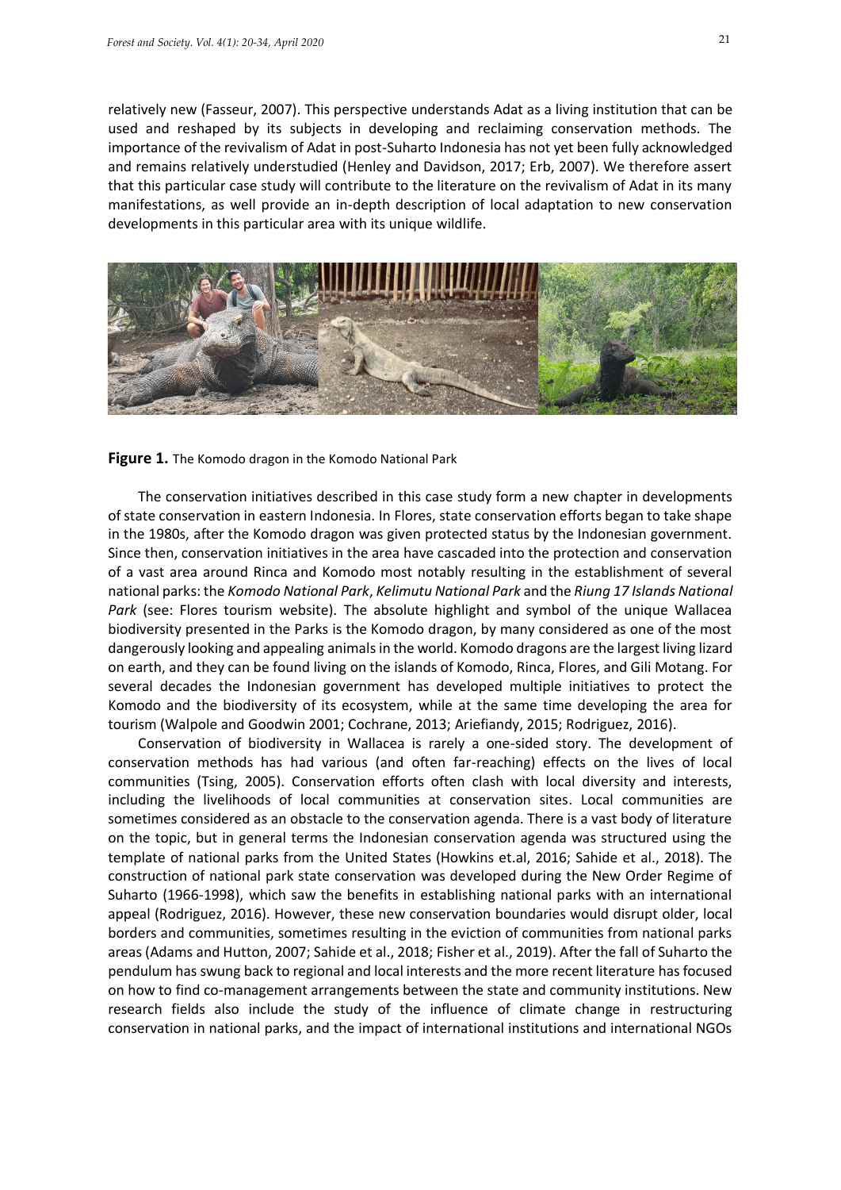relatively new (Fasseur, 2007). This perspective understands Adat as a living institution that can be used and reshaped by its subjects in developing and reclaiming conservation methods. The importance of the revivalism of Adat in post-Suharto Indonesia has not yet been fully acknowledged and remains relatively understudied (Henley and Davidson, 2017; Erb, 2007). We therefore assert that this particular case study will contribute to the literature on the revivalism of Adat in its many manifestations, as well provide an in-depth description of local adaptation to new conservation developments in this particular area with its unique wildlife.





The conservation initiatives described in this case study form a new chapter in developments of state conservation in eastern Indonesia. In Flores, state conservation efforts began to take shape in the 1980s, after the Komodo dragon was given protected status by the Indonesian government. Since then, conservation initiatives in the area have cascaded into the protection and conservation of a vast area around Rinca and Komodo most notably resulting in the establishment of several national parks: the *Komodo National Park*, *Kelimutu National Park* and the *Riung 17 Islands National Park* (see: Flores tourism website). The absolute highlight and symbol of the unique Wallacea biodiversity presented in the Parks is the Komodo dragon, by many considered as one of the most dangerously looking and appealing animals in the world. Komodo dragons are the largest living lizard on earth, and they can be found living on the islands of Komodo, Rinca, Flores, and Gili Motang. For several decades the Indonesian government has developed multiple initiatives to protect the Komodo and the biodiversity of its ecosystem, while at the same time developing the area for tourism (Walpole and Goodwin 2001; Cochrane, 2013; Ariefiandy, 2015; Rodriguez, 2016).

Conservation of biodiversity in Wallacea is rarely a one-sided story. The development of conservation methods has had various (and often far-reaching) effects on the lives of local communities (Tsing, 2005). Conservation efforts often clash with local diversity and interests, including the livelihoods of local communities at conservation sites. Local communities are sometimes considered as an obstacle to the conservation agenda. There is a vast body of literature on the topic, but in general terms the Indonesian conservation agenda was structured using the template of national parks from the United States (Howkins et.al, 2016; Sahide et al., 2018). The construction of national park state conservation was developed during the New Order Regime of Suharto (1966-1998), which saw the benefits in establishing national parks with an international appeal (Rodriguez, 2016). However, these new conservation boundaries would disrupt older, local borders and communities, sometimes resulting in the eviction of communities from national parks areas (Adams and Hutton, 2007; Sahide et al., 2018; Fisher et al., 2019). After the fall of Suharto the pendulum has swung back to regional and local interests and the more recent literature has focused on how to find co-management arrangements between the state and community institutions. New research fields also include the study of the influence of climate change in restructuring conservation in national parks, and the impact of international institutions and international NGOs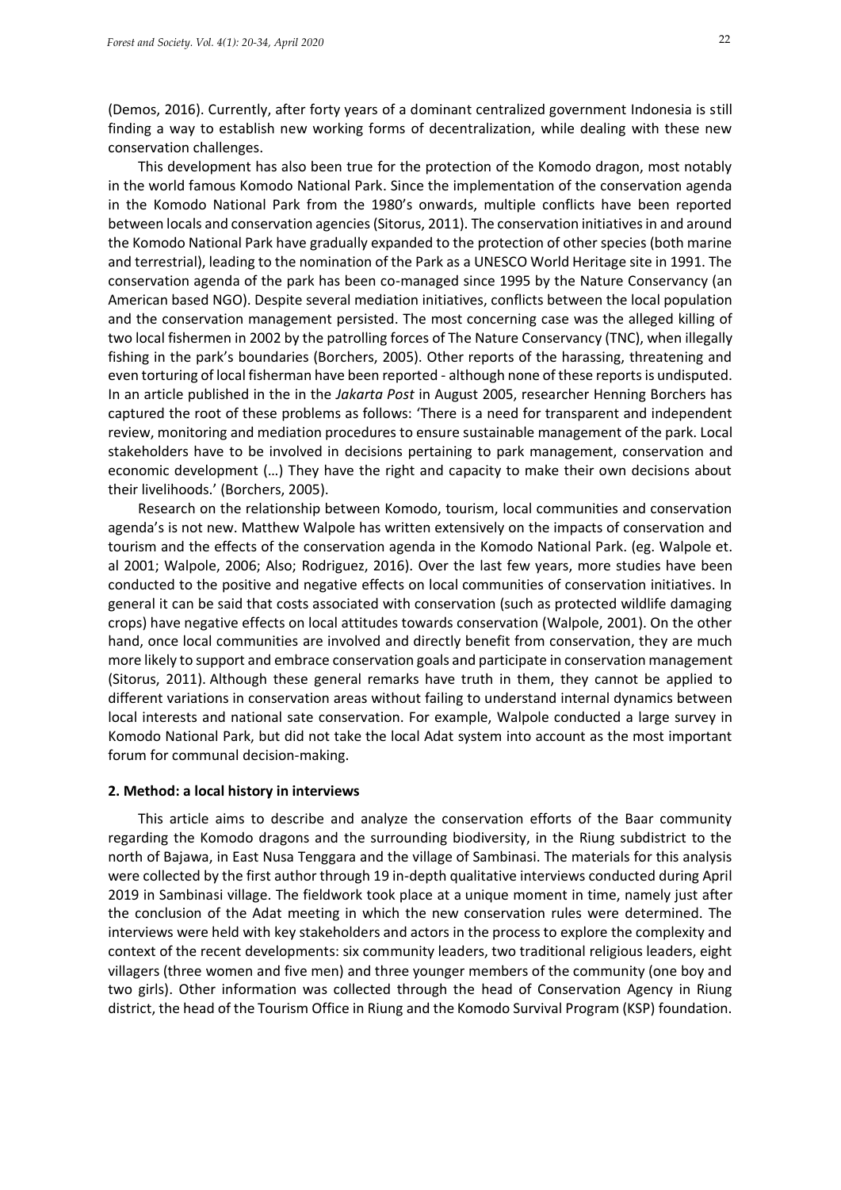(Demos, 2016). Currently, after forty years of a dominant centralized government Indonesia is still finding a way to establish new working forms of decentralization, while dealing with these new conservation challenges.

This development has also been true for the protection of the Komodo dragon, most notably in the world famous Komodo National Park. Since the implementation of the conservation agenda in the Komodo National Park from the 1980's onwards, multiple conflicts have been reported between locals and conservation agencies (Sitorus, 2011). The conservation initiatives in and around the Komodo National Park have gradually expanded to the protection of other species (both marine and terrestrial), leading to the nomination of the Park as a UNESCO World Heritage site in 1991. The conservation agenda of the park has been co-managed since 1995 by the Nature Conservancy (an American based NGO). Despite several mediation initiatives, conflicts between the local population and the conservation management persisted. The most concerning case was the alleged killing of two local fishermen in 2002 by the patrolling forces of The Nature Conservancy (TNC), when illegally fishing in the park's boundaries (Borchers, 2005). Other reports of the harassing, threatening and even torturing of local fisherman have been reported - although none of these reportsis undisputed. In an article published in the in the *Jakarta Post* in August 2005, researcher Henning Borchers has captured the root of these problems as follows: 'There is a need for transparent and independent review, monitoring and mediation procedures to ensure sustainable management of the park. Local stakeholders have to be involved in decisions pertaining to park management, conservation and economic development (…) They have the right and capacity to make their own decisions about their livelihoods.' (Borchers, 2005).

Research on the relationship between Komodo, tourism, local communities and conservation agenda's is not new. Matthew Walpole has written extensively on the impacts of conservation and tourism and the effects of the conservation agenda in the Komodo National Park. (eg. Walpole et. al 2001; Walpole, 2006; Also; Rodriguez, 2016). Over the last few years, more studies have been conducted to the positive and negative effects on local communities of conservation initiatives. In general it can be said that costs associated with conservation (such as protected wildlife damaging crops) have negative effects on local attitudes towards conservation (Walpole, 2001). On the other hand, once local communities are involved and directly benefit from conservation, they are much more likely to support and embrace conservation goals and participate in conservation management (Sitorus, 2011). Although these general remarks have truth in them, they cannot be applied to different variations in conservation areas without failing to understand internal dynamics between local interests and national sate conservation. For example, Walpole conducted a large survey in Komodo National Park, but did not take the local Adat system into account as the most important forum for communal decision-making.

#### **2. Method: a local history in interviews**

This article aims to describe and analyze the conservation efforts of the Baar community regarding the Komodo dragons and the surrounding biodiversity, in the Riung subdistrict to the north of Bajawa, in East Nusa Tenggara and the village of Sambinasi. The materials for this analysis were collected by the first author through 19 in-depth qualitative interviews conducted during April 2019 in Sambinasi village. The fieldwork took place at a unique moment in time, namely just after the conclusion of the Adat meeting in which the new conservation rules were determined. The interviews were held with key stakeholders and actors in the process to explore the complexity and context of the recent developments: six community leaders, two traditional religious leaders, eight villagers (three women and five men) and three younger members of the community (one boy and two girls). Other information was collected through the head of Conservation Agency in Riung district, the head of the Tourism Office in Riung and the Komodo Survival Program (KSP) foundation.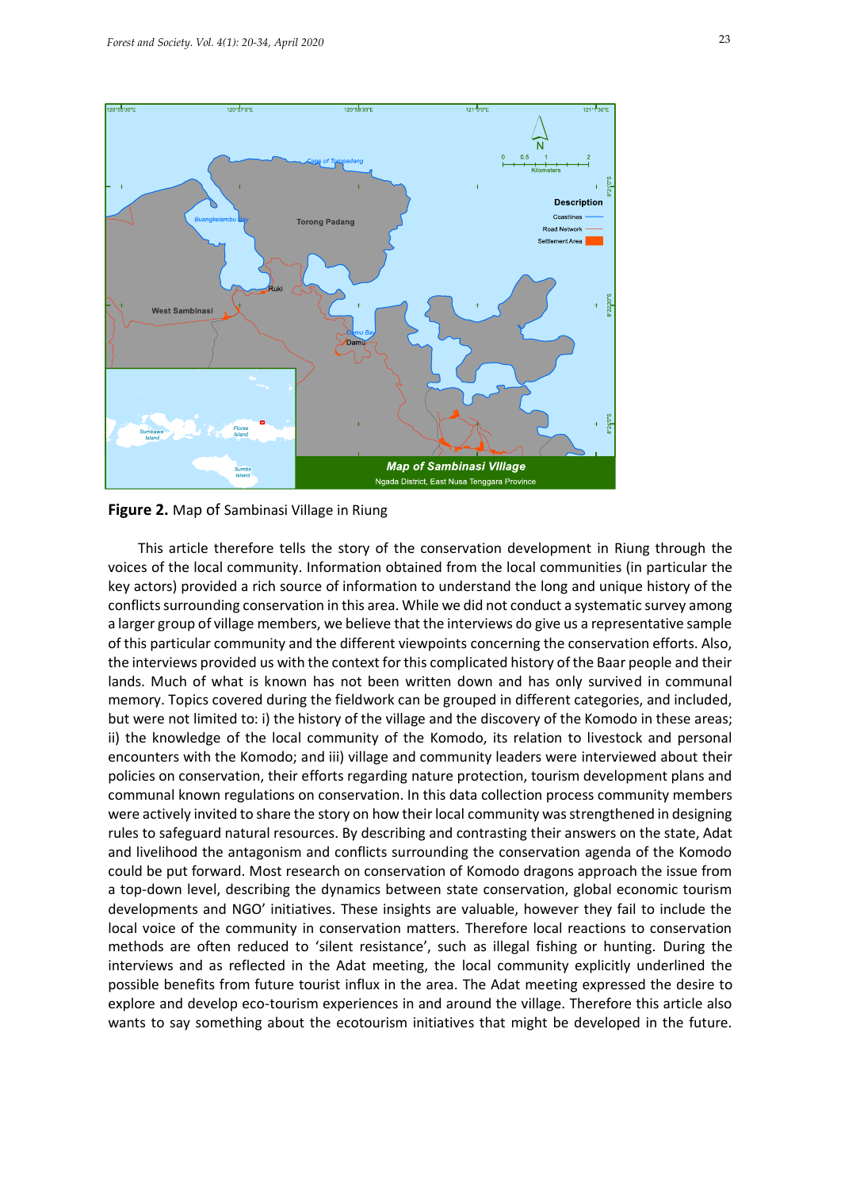

**Figure 2.** Map of Sambinasi Village in Riung

This article therefore tells the story of the conservation development in Riung through the voices of the local community. Information obtained from the local communities (in particular the key actors) provided a rich source of information to understand the long and unique history of the conflicts surrounding conservation in this area. While we did not conduct a systematic survey among a larger group of village members, we believe that the interviews do give us a representative sample of this particular community and the different viewpoints concerning the conservation efforts. Also, the interviews provided us with the context for this complicated history of the Baar people and their lands. Much of what is known has not been written down and has only survived in communal memory. Topics covered during the fieldwork can be grouped in different categories, and included, but were not limited to: i) the history of the village and the discovery of the Komodo in these areas; ii) the knowledge of the local community of the Komodo, its relation to livestock and personal encounters with the Komodo; and iii) village and community leaders were interviewed about their policies on conservation, their efforts regarding nature protection, tourism development plans and communal known regulations on conservation. In this data collection process community members were actively invited to share the story on how their local community was strengthened in designing rules to safeguard natural resources. By describing and contrasting their answers on the state, Adat and livelihood the antagonism and conflicts surrounding the conservation agenda of the Komodo could be put forward. Most research on conservation of Komodo dragons approach the issue from a top-down level, describing the dynamics between state conservation, global economic tourism developments and NGO' initiatives. These insights are valuable, however they fail to include the local voice of the community in conservation matters. Therefore local reactions to conservation methods are often reduced to 'silent resistance', such as illegal fishing or hunting. During the interviews and as reflected in the Adat meeting, the local community explicitly underlined the possible benefits from future tourist influx in the area. The Adat meeting expressed the desire to explore and develop eco-tourism experiences in and around the village. Therefore this article also wants to say something about the ecotourism initiatives that might be developed in the future.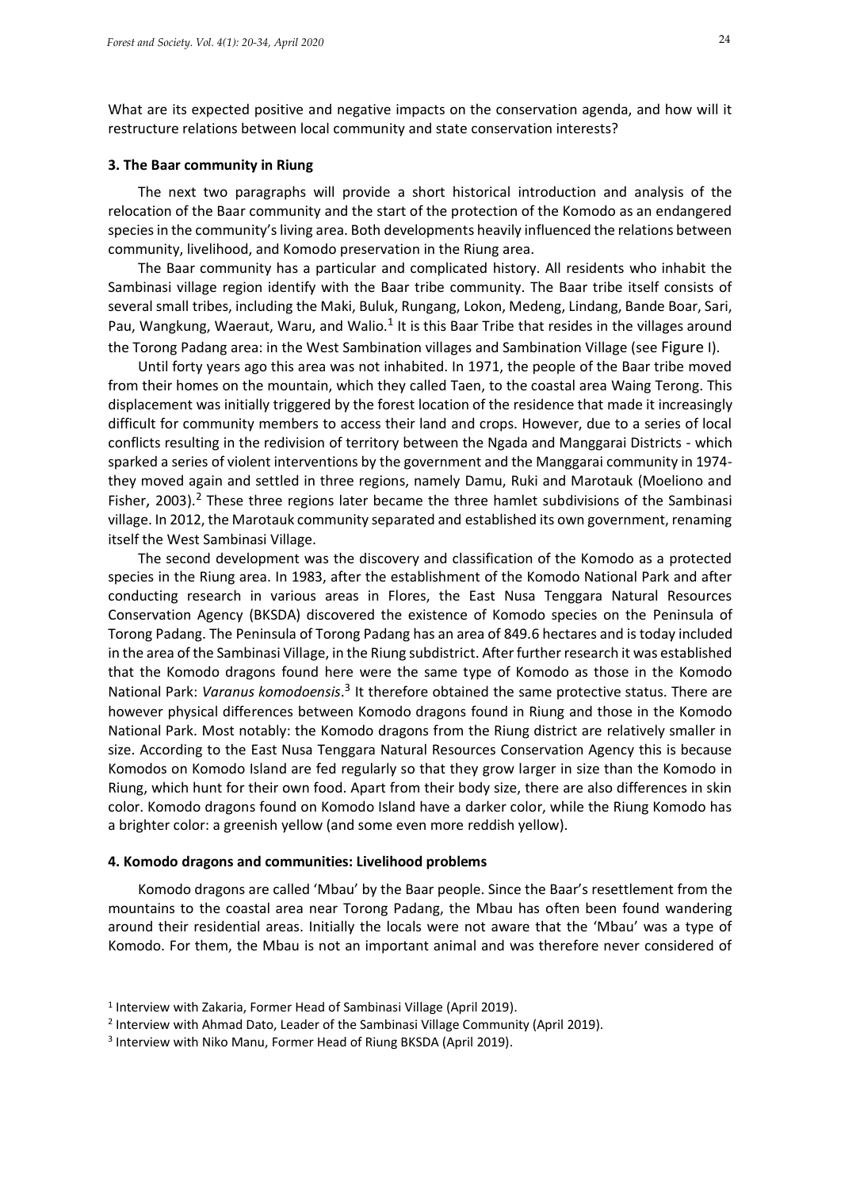What are its expected positive and negative impacts on the conservation agenda, and how will it restructure relations between local community and state conservation interests?

### **3. The Baar community in Riung**

The next two paragraphs will provide a short historical introduction and analysis of the relocation of the Baar community and the start of the protection of the Komodo as an endangered species in the community's living area. Both developments heavily influenced the relations between community, livelihood, and Komodo preservation in the Riung area.

The Baar community has a particular and complicated history. All residents who inhabit the Sambinasi village region identify with the Baar tribe community. The Baar tribe itself consists of several small tribes, including the Maki, Buluk, Rungang, Lokon, Medeng, Lindang, Bande Boar, Sari, Pau, Wangkung, Waeraut, Waru, and Walio.<sup>1</sup> It is this Baar Tribe that resides in the villages around the Torong Padang area: in the West Sambination villages and Sambination Village (see Figure I).

Until forty years ago this area was not inhabited. In 1971, the people of the Baar tribe moved from their homes on the mountain, which they called Taen, to the coastal area Waing Terong. This displacement was initially triggered by the forest location of the residence that made it increasingly difficult for community members to access their land and crops. However, due to a series of local conflicts resulting in the redivision of territory between the Ngada and Manggarai Districts - which sparked a series of violent interventions by the government and the Manggarai community in 1974 they moved again and settled in three regions, namely Damu, Ruki and Marotauk (Moeliono and Fisher, 2003).<sup>2</sup> These three regions later became the three hamlet subdivisions of the Sambinasi village. In 2012, the Marotauk community separated and established its own government, renaming itself the West Sambinasi Village.

The second development was the discovery and classification of the Komodo as a protected species in the Riung area. In 1983, after the establishment of the Komodo National Park and after conducting research in various areas in Flores, the East Nusa Tenggara Natural Resources Conservation Agency (BKSDA) discovered the existence of Komodo species on the Peninsula of Torong Padang. The Peninsula of Torong Padang has an area of 849.6 hectares and is today included in the area of the Sambinasi Village, in the Riung subdistrict. After further research it was established that the Komodo dragons found here were the same type of Komodo as those in the Komodo National Park: Varanus komodoensis.<sup>3</sup> It therefore obtained the same protective status. There are however physical differences between Komodo dragons found in Riung and those in the Komodo National Park. Most notably: the Komodo dragons from the Riung district are relatively smaller in size. According to the East Nusa Tenggara Natural Resources Conservation Agency this is because Komodos on Komodo Island are fed regularly so that they grow larger in size than the Komodo in Riung, which hunt for their own food. Apart from their body size, there are also differences in skin color. Komodo dragons found on Komodo Island have a darker color, while the Riung Komodo has a brighter color: a greenish yellow (and some even more reddish yellow).

#### **4. Komodo dragons and communities: Livelihood problems**

Komodo dragons are called 'Mbau' by the Baar people. Since the Baar's resettlement from the mountains to the coastal area near Torong Padang, the Mbau has often been found wandering around their residential areas. Initially the locals were not aware that the 'Mbau' was a type of Komodo. For them, the Mbau is not an important animal and was therefore never considered of

<sup>1</sup> Interview with Zakaria, Former Head of Sambinasi Village (April 2019).

<sup>2</sup> Interview with Ahmad Dato, Leader of the Sambinasi Village Community (April 2019).

<sup>3</sup> Interview with Niko Manu, Former Head of Riung BKSDA (April 2019).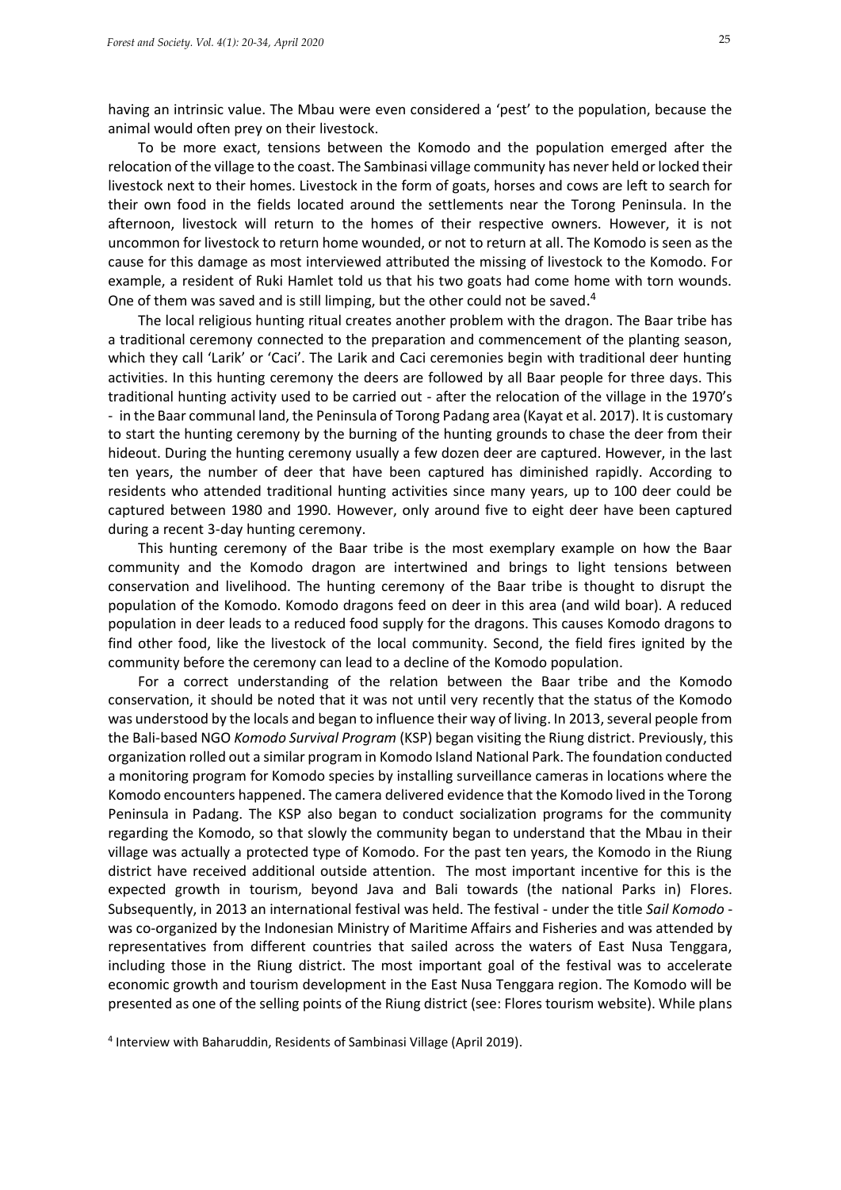having an intrinsic value. The Mbau were even considered a 'pest' to the population, because the animal would often prey on their livestock.

To be more exact, tensions between the Komodo and the population emerged after the relocation of the village to the coast. The Sambinasi village community has never held or locked their livestock next to their homes. Livestock in the form of goats, horses and cows are left to search for their own food in the fields located around the settlements near the Torong Peninsula. In the afternoon, livestock will return to the homes of their respective owners. However, it is not uncommon for livestock to return home wounded, or not to return at all. The Komodo is seen as the cause for this damage as most interviewed attributed the missing of livestock to the Komodo. For example, a resident of Ruki Hamlet told us that his two goats had come home with torn wounds. One of them was saved and is still limping, but the other could not be saved.<sup>4</sup>

The local religious hunting ritual creates another problem with the dragon. The Baar tribe has a traditional ceremony connected to the preparation and commencement of the planting season, which they call 'Larik' or 'Caci'. The Larik and Caci ceremonies begin with traditional deer hunting activities. In this hunting ceremony the deers are followed by all Baar people for three days. This traditional hunting activity used to be carried out - after the relocation of the village in the 1970's - in the Baar communal land, the Peninsula of Torong Padang area (Kayat et al. 2017). It is customary to start the hunting ceremony by the burning of the hunting grounds to chase the deer from their hideout. During the hunting ceremony usually a few dozen deer are captured. However, in the last ten years, the number of deer that have been captured has diminished rapidly. According to residents who attended traditional hunting activities since many years, up to 100 deer could be captured between 1980 and 1990. However, only around five to eight deer have been captured during a recent 3-day hunting ceremony.

This hunting ceremony of the Baar tribe is the most exemplary example on how the Baar community and the Komodo dragon are intertwined and brings to light tensions between conservation and livelihood. The hunting ceremony of the Baar tribe is thought to disrupt the population of the Komodo. Komodo dragons feed on deer in this area (and wild boar). A reduced population in deer leads to a reduced food supply for the dragons. This causes Komodo dragons to find other food, like the livestock of the local community. Second, the field fires ignited by the community before the ceremony can lead to a decline of the Komodo population.

For a correct understanding of the relation between the Baar tribe and the Komodo conservation, it should be noted that it was not until very recently that the status of the Komodo was understood by the locals and began to influence their way of living. In 2013, several people from the Bali-based NGO *Komodo Survival Program* (KSP) began visiting the Riung district. Previously, this organization rolled out a similar program in Komodo Island National Park. The foundation conducted a monitoring program for Komodo species by installing surveillance cameras in locations where the Komodo encounters happened. The camera delivered evidence that the Komodo lived in the Torong Peninsula in Padang. The KSP also began to conduct socialization programs for the community regarding the Komodo, so that slowly the community began to understand that the Mbau in their village was actually a protected type of Komodo. For the past ten years, the Komodo in the Riung district have received additional outside attention. The most important incentive for this is the expected growth in tourism, beyond Java and Bali towards (the national Parks in) Flores. Subsequently, in 2013 an international festival was held. The festival - under the title *Sail Komodo* was co-organized by the Indonesian Ministry of Maritime Affairs and Fisheries and was attended by representatives from different countries that sailed across the waters of East Nusa Tenggara, including those in the Riung district. The most important goal of the festival was to accelerate economic growth and tourism development in the East Nusa Tenggara region. The Komodo will be presented as one of the selling points of the Riung district (see: Flores tourism website). While plans

4 Interview with Baharuddin, Residents of Sambinasi Village (April 2019).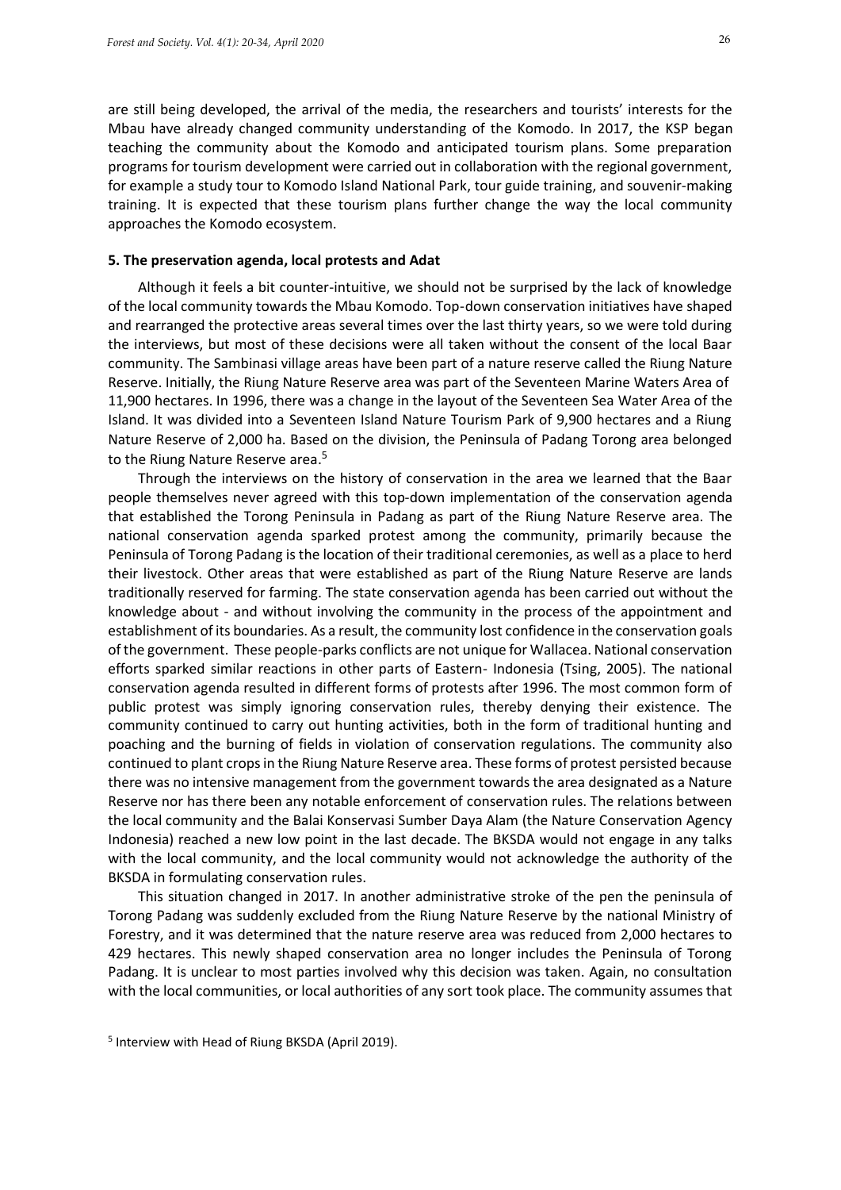are still being developed, the arrival of the media, the researchers and tourists' interests for the Mbau have already changed community understanding of the Komodo. In 2017, the KSP began teaching the community about the Komodo and anticipated tourism plans. Some preparation programs for tourism development were carried out in collaboration with the regional government, for example a study tour to Komodo Island National Park, tour guide training, and souvenir-making training. It is expected that these tourism plans further change the way the local community approaches the Komodo ecosystem.

#### **5. The preservation agenda, local protests and Adat**

Although it feels a bit counter-intuitive, we should not be surprised by the lack of knowledge of the local community towards the Mbau Komodo. Top-down conservation initiatives have shaped and rearranged the protective areas several times over the last thirty years, so we were told during the interviews, but most of these decisions were all taken without the consent of the local Baar community. The Sambinasi village areas have been part of a nature reserve called the Riung Nature Reserve. Initially, the Riung Nature Reserve area was part of the Seventeen Marine Waters Area of 11,900 hectares. In 1996, there was a change in the layout of the Seventeen Sea Water Area of the Island. It was divided into a Seventeen Island Nature Tourism Park of 9,900 hectares and a Riung Nature Reserve of 2,000 ha. Based on the division, the Peninsula of Padang Torong area belonged to the Riung Nature Reserve area.<sup>5</sup>

Through the interviews on the history of conservation in the area we learned that the Baar people themselves never agreed with this top-down implementation of the conservation agenda that established the Torong Peninsula in Padang as part of the Riung Nature Reserve area. The national conservation agenda sparked protest among the community, primarily because the Peninsula of Torong Padang is the location of their traditional ceremonies, as well as a place to herd their livestock. Other areas that were established as part of the Riung Nature Reserve are lands traditionally reserved for farming. The state conservation agenda has been carried out without the knowledge about - and without involving the community in the process of the appointment and establishment of its boundaries. As a result, the community lost confidence in the conservation goals of the government. These people-parks conflicts are not unique for Wallacea. National conservation efforts sparked similar reactions in other parts of Eastern- Indonesia (Tsing, 2005). The national conservation agenda resulted in different forms of protests after 1996. The most common form of public protest was simply ignoring conservation rules, thereby denying their existence. The community continued to carry out hunting activities, both in the form of traditional hunting and poaching and the burning of fields in violation of conservation regulations. The community also continued to plant crops in the Riung Nature Reserve area. These forms of protest persisted because there was no intensive management from the government towards the area designated as a Nature Reserve nor has there been any notable enforcement of conservation rules. The relations between the local community and the Balai Konservasi Sumber Daya Alam (the Nature Conservation Agency Indonesia) reached a new low point in the last decade. The BKSDA would not engage in any talks with the local community, and the local community would not acknowledge the authority of the BKSDA in formulating conservation rules.

This situation changed in 2017. In another administrative stroke of the pen the peninsula of Torong Padang was suddenly excluded from the Riung Nature Reserve by the national Ministry of Forestry, and it was determined that the nature reserve area was reduced from 2,000 hectares to 429 hectares. This newly shaped conservation area no longer includes the Peninsula of Torong Padang. It is unclear to most parties involved why this decision was taken. Again, no consultation with the local communities, or local authorities of any sort took place. The community assumes that

5 Interview with Head of Riung BKSDA (April 2019).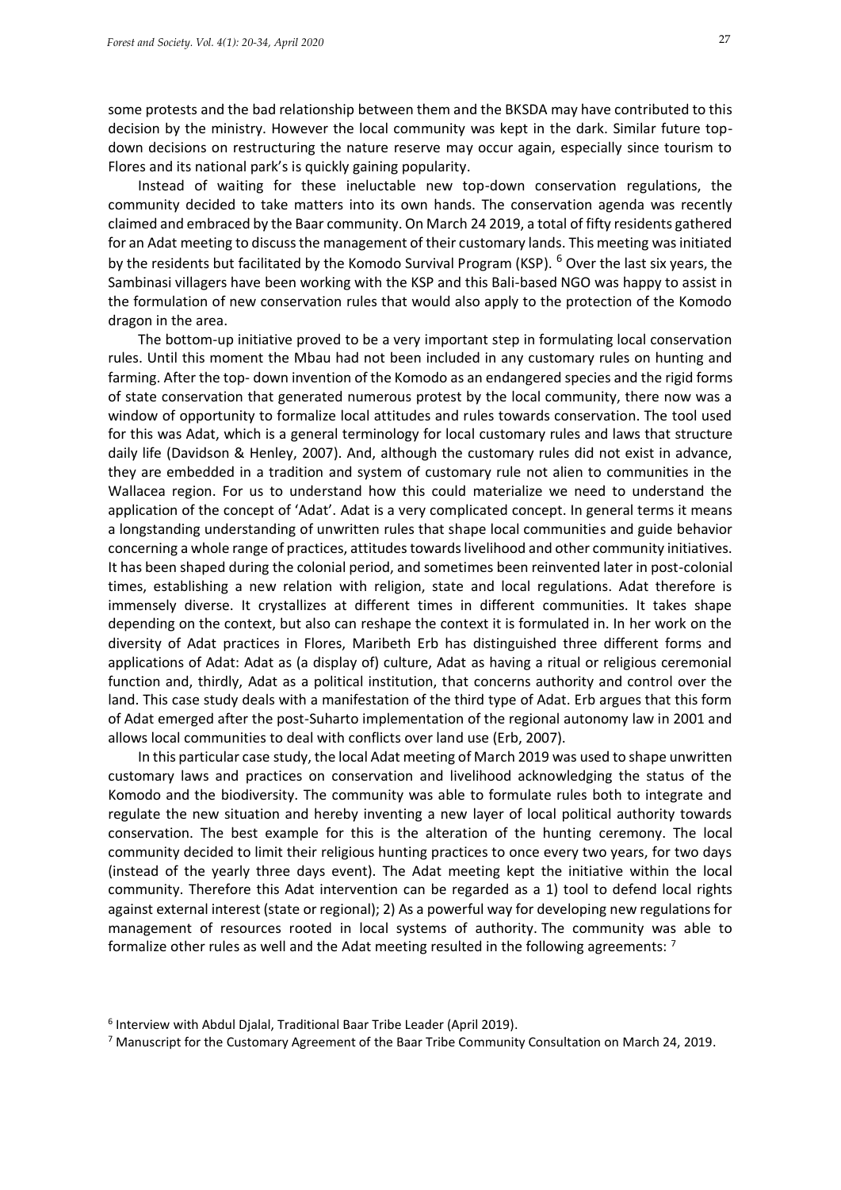some protests and the bad relationship between them and the BKSDA may have contributed to this decision by the ministry. However the local community was kept in the dark. Similar future topdown decisions on restructuring the nature reserve may occur again, especially since tourism to Flores and its national park's is quickly gaining popularity.

Instead of waiting for these ineluctable new top-down conservation regulations, the community decided to take matters into its own hands. The conservation agenda was recently claimed and embraced by the Baar community. On March 24 2019, a total of fifty residents gathered for an Adat meeting to discuss the management of their customary lands. This meeting was initiated by the residents but facilitated by the Komodo Survival Program (KSP). <sup>6</sup> Over the last six years, the Sambinasi villagers have been working with the KSP and this Bali-based NGO was happy to assist in the formulation of new conservation rules that would also apply to the protection of the Komodo dragon in the area.

The bottom-up initiative proved to be a very important step in formulating local conservation rules. Until this moment the Mbau had not been included in any customary rules on hunting and farming. After the top- down invention of the Komodo as an endangered species and the rigid forms of state conservation that generated numerous protest by the local community, there now was a window of opportunity to formalize local attitudes and rules towards conservation. The tool used for this was Adat, which is a general terminology for local customary rules and laws that structure daily life (Davidson & Henley, 2007). And, although the customary rules did not exist in advance, they are embedded in a tradition and system of customary rule not alien to communities in the Wallacea region. For us to understand how this could materialize we need to understand the application of the concept of 'Adat'. Adat is a very complicated concept. In general terms it means a longstanding understanding of unwritten rules that shape local communities and guide behavior concerning a whole range of practices, attitudes towards livelihood and other community initiatives. It has been shaped during the colonial period, and sometimes been reinvented later in post-colonial times, establishing a new relation with religion, state and local regulations. Adat therefore is immensely diverse. It crystallizes at different times in different communities. It takes shape depending on the context, but also can reshape the context it is formulated in. In her work on the diversity of Adat practices in Flores, Maribeth Erb has distinguished three different forms and applications of Adat: Adat as (a display of) culture, Adat as having a ritual or religious ceremonial function and, thirdly, Adat as a political institution, that concerns authority and control over the land. This case study deals with a manifestation of the third type of Adat. Erb argues that this form of Adat emerged after the post-Suharto implementation of the regional autonomy law in 2001 and allows local communities to deal with conflicts over land use (Erb, 2007).

In this particular case study, the local Adat meeting of March 2019 was used to shape unwritten customary laws and practices on conservation and livelihood acknowledging the status of the Komodo and the biodiversity. The community was able to formulate rules both to integrate and regulate the new situation and hereby inventing a new layer of local political authority towards conservation. The best example for this is the alteration of the hunting ceremony. The local community decided to limit their religious hunting practices to once every two years, for two days (instead of the yearly three days event). The Adat meeting kept the initiative within the local community. Therefore this Adat intervention can be regarded as a 1) tool to defend local rights against external interest (state or regional); 2) As a powerful way for developing new regulations for management of resources rooted in local systems of authority. The community was able to formalize other rules as well and the Adat meeting resulted in the following agreements: <sup>7</sup>

<sup>6</sup> Interview with Abdul Djalal, Traditional Baar Tribe Leader (April 2019).

<sup>7</sup> Manuscript for the Customary Agreement of the Baar Tribe Community Consultation on March 24, 2019.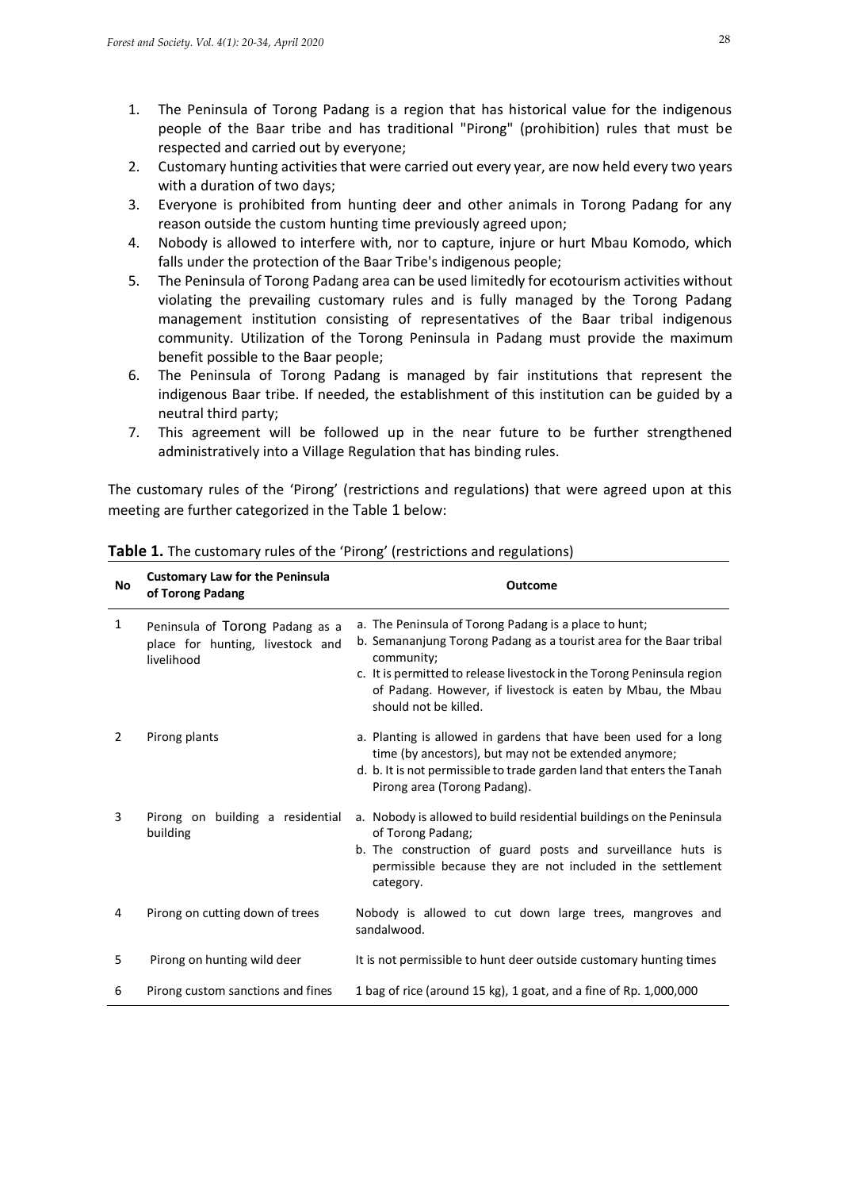- 1. The Peninsula of Torong Padang is a region that has historical value for the indigenous people of the Baar tribe and has traditional "Pirong" (prohibition) rules that must be respected and carried out by everyone;
- 2. Customary hunting activities that were carried out every year, are now held every two years with a duration of two days;
- 3. Everyone is prohibited from hunting deer and other animals in Torong Padang for any reason outside the custom hunting time previously agreed upon;
- 4. Nobody is allowed to interfere with, nor to capture, injure or hurt Mbau Komodo, which falls under the protection of the Baar Tribe's indigenous people;
- 5. The Peninsula of Torong Padang area can be used limitedly for ecotourism activities without violating the prevailing customary rules and is fully managed by the Torong Padang management institution consisting of representatives of the Baar tribal indigenous community. Utilization of the Torong Peninsula in Padang must provide the maximum benefit possible to the Baar people;
- 6. The Peninsula of Torong Padang is managed by fair institutions that represent the indigenous Baar tribe. If needed, the establishment of this institution can be guided by a neutral third party;
- 7. This agreement will be followed up in the near future to be further strengthened administratively into a Village Regulation that has binding rules.

The customary rules of the 'Pirong' (restrictions and regulations) that were agreed upon at this meeting are further categorized in the Table 1 below:

| <b>No</b> | <b>Customary Law for the Peninsula</b><br>of Torong Padang                        | Outcome                                                                                                                                                                                                                                                                                                     |
|-----------|-----------------------------------------------------------------------------------|-------------------------------------------------------------------------------------------------------------------------------------------------------------------------------------------------------------------------------------------------------------------------------------------------------------|
| 1         | Peninsula of Torong Padang as a<br>place for hunting, livestock and<br>livelihood | a. The Peninsula of Torong Padang is a place to hunt;<br>b. Semananjung Torong Padang as a tourist area for the Baar tribal<br>community;<br>c. It is permitted to release livestock in the Torong Peninsula region<br>of Padang. However, if livestock is eaten by Mbau, the Mbau<br>should not be killed. |
| 2         | Pirong plants                                                                     | a. Planting is allowed in gardens that have been used for a long<br>time (by ancestors), but may not be extended anymore;<br>d. b. It is not permissible to trade garden land that enters the Tanah<br>Pirong area (Torong Padang).                                                                         |
| 3         | Pirong on building a residential<br>building                                      | a. Nobody is allowed to build residential buildings on the Peninsula<br>of Torong Padang;<br>b. The construction of guard posts and surveillance huts is<br>permissible because they are not included in the settlement<br>category.                                                                        |
| 4         | Pirong on cutting down of trees                                                   | Nobody is allowed to cut down large trees, mangroves and<br>sandalwood.                                                                                                                                                                                                                                     |
| 5         | Pirong on hunting wild deer                                                       | It is not permissible to hunt deer outside customary hunting times                                                                                                                                                                                                                                          |
| 6         | Pirong custom sanctions and fines                                                 | 1 bag of rice (around 15 kg), 1 goat, and a fine of Rp. 1,000,000                                                                                                                                                                                                                                           |

**Table 1.** The customary rules of the 'Pirong' (restrictions and regulations)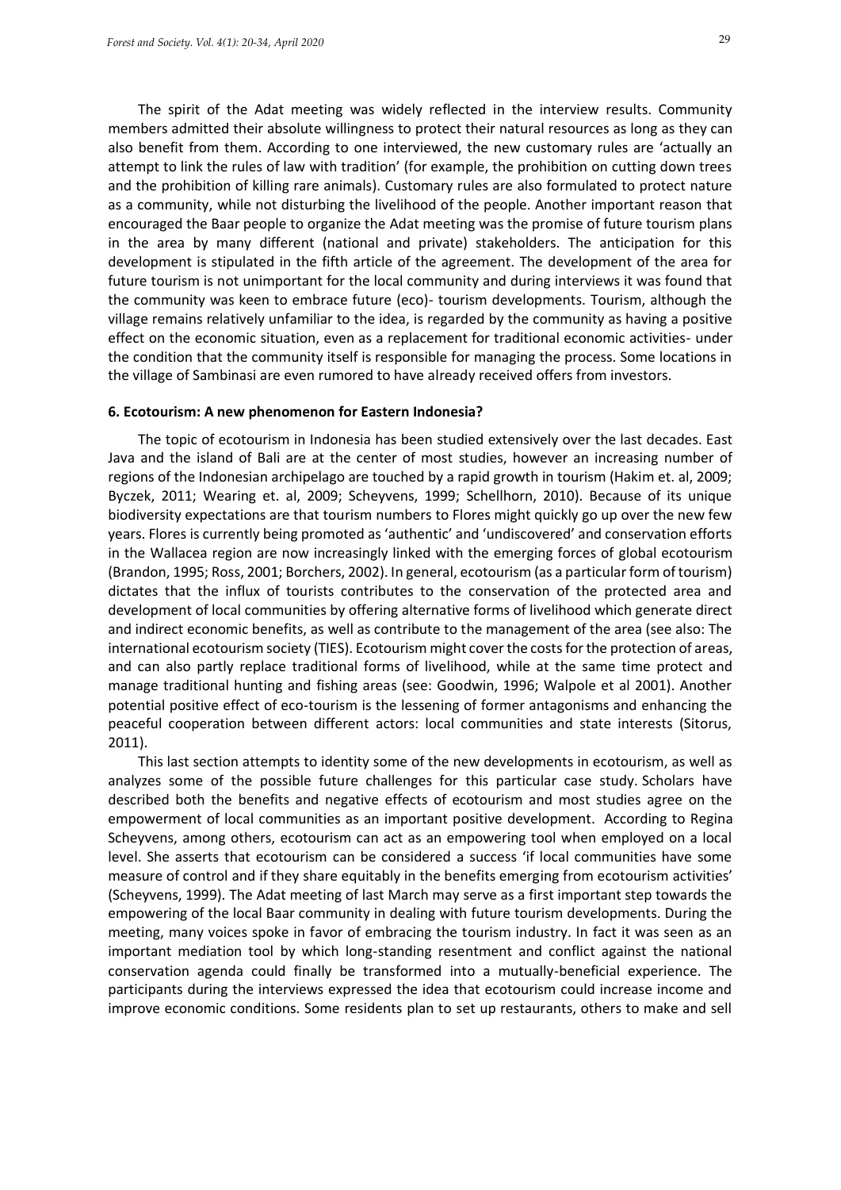The spirit of the Adat meeting was widely reflected in the interview results. Community members admitted their absolute willingness to protect their natural resources as long as they can also benefit from them. According to one interviewed, the new customary rules are 'actually an attempt to link the rules of law with tradition' (for example, the prohibition on cutting down trees and the prohibition of killing rare animals). Customary rules are also formulated to protect nature as a community, while not disturbing the livelihood of the people. Another important reason that encouraged the Baar people to organize the Adat meeting was the promise of future tourism plans in the area by many different (national and private) stakeholders. The anticipation for this development is stipulated in the fifth article of the agreement. The development of the area for future tourism is not unimportant for the local community and during interviews it was found that the community was keen to embrace future (eco)- tourism developments. Tourism, although the village remains relatively unfamiliar to the idea, is regarded by the community as having a positive effect on the economic situation, even as a replacement for traditional economic activities- under the condition that the community itself is responsible for managing the process. Some locations in the village of Sambinasi are even rumored to have already received offers from investors.

#### **6. Ecotourism: A new phenomenon for Eastern Indonesia?**

The topic of ecotourism in Indonesia has been studied extensively over the last decades. East Java and the island of Bali are at the center of most studies, however an increasing number of regions of the Indonesian archipelago are touched by a rapid growth in tourism (Hakim et. al, 2009; Byczek, 2011; Wearing et. al, 2009; Scheyvens, 1999; Schellhorn, 2010). Because of its unique biodiversity expectations are that tourism numbers to Flores might quickly go up over the new few years. Flores is currently being promoted as 'authentic' and 'undiscovered' and conservation efforts in the Wallacea region are now increasingly linked with the emerging forces of global ecotourism (Brandon, 1995; Ross, 2001; Borchers, 2002). In general, ecotourism (as a particular form of tourism) dictates that the influx of tourists contributes to the conservation of the protected area and development of local communities by offering alternative forms of livelihood which generate direct and indirect economic benefits, as well as contribute to the management of the area (see also: The international ecotourism society (TIES). Ecotourism might cover the costs for the protection of areas, and can also partly replace traditional forms of livelihood, while at the same time protect and manage traditional hunting and fishing areas (see: Goodwin, 1996; Walpole et al 2001). Another potential positive effect of eco-tourism is the lessening of former antagonisms and enhancing the peaceful cooperation between different actors: local communities and state interests (Sitorus, 2011).

This last section attempts to identity some of the new developments in ecotourism, as well as analyzes some of the possible future challenges for this particular case study. Scholars have described both the benefits and negative effects of ecotourism and most studies agree on the empowerment of local communities as an important positive development. According to Regina Scheyvens, among others, ecotourism can act as an empowering tool when employed on a local level. She asserts that ecotourism can be considered a success 'if local communities have some measure of control and if they share equitably in the benefits emerging from ecotourism activities' (Scheyvens, 1999). The Adat meeting of last March may serve as a first important step towards the empowering of the local Baar community in dealing with future tourism developments. During the meeting, many voices spoke in favor of embracing the tourism industry. In fact it was seen as an important mediation tool by which long-standing resentment and conflict against the national conservation agenda could finally be transformed into a mutually-beneficial experience. The participants during the interviews expressed the idea that ecotourism could increase income and improve economic conditions. Some residents plan to set up restaurants, others to make and sell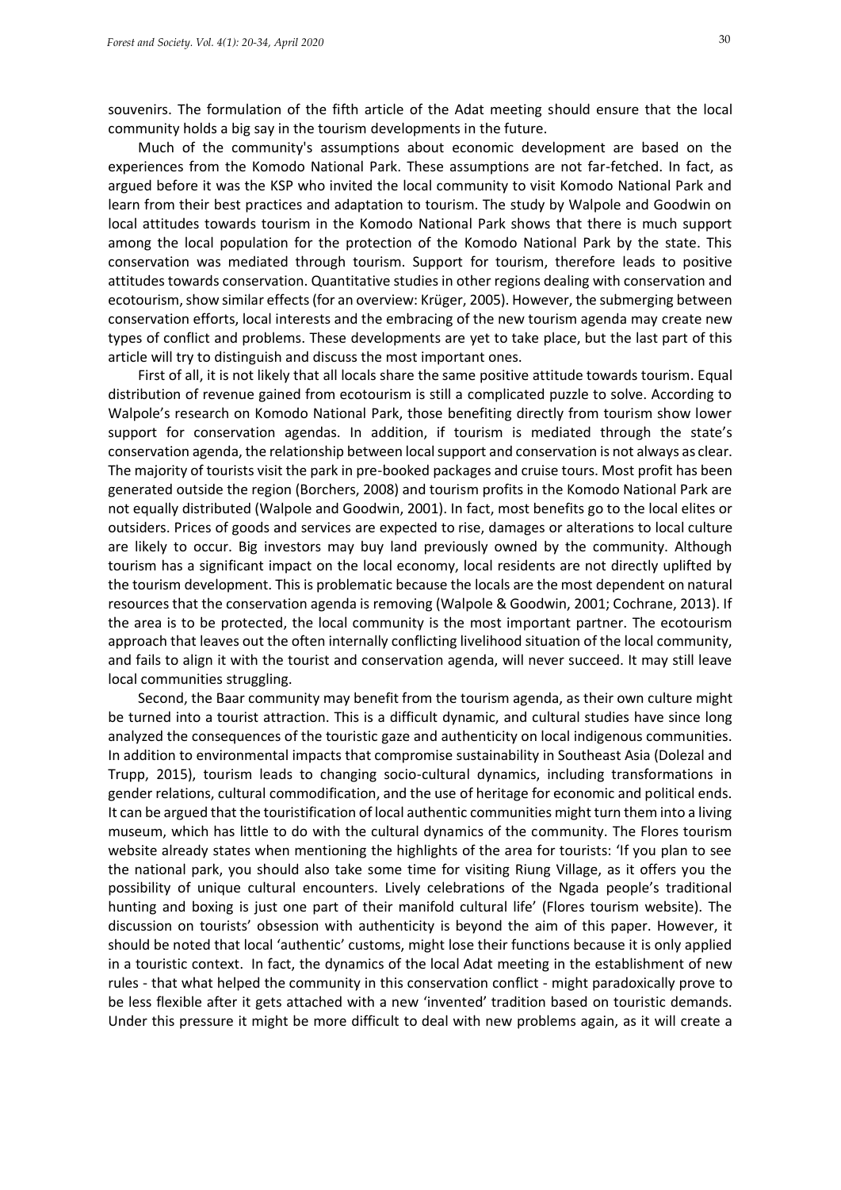souvenirs. The formulation of the fifth article of the Adat meeting should ensure that the local community holds a big say in the tourism developments in the future.

Much of the community's assumptions about economic development are based on the experiences from the Komodo National Park. These assumptions are not far-fetched. In fact, as argued before it was the KSP who invited the local community to visit Komodo National Park and learn from their best practices and adaptation to tourism. The study by Walpole and Goodwin on local attitudes towards tourism in the Komodo National Park shows that there is much support among the local population for the protection of the Komodo National Park by the state. This conservation was mediated through tourism. Support for tourism, therefore leads to positive attitudes towards conservation. Quantitative studies in other regions dealing with conservation and ecotourism, show similar effects (for an overview: Krüger, 2005). However, the submerging between conservation efforts, local interests and the embracing of the new tourism agenda may create new types of conflict and problems. These developments are yet to take place, but the last part of this article will try to distinguish and discuss the most important ones.

First of all, it is not likely that all locals share the same positive attitude towards tourism. Equal distribution of revenue gained from ecotourism is still a complicated puzzle to solve. According to Walpole's research on Komodo National Park, those benefiting directly from tourism show lower support for conservation agendas. In addition, if tourism is mediated through the state's conservation agenda, the relationship between local support and conservation is not always as clear. The majority of tourists visit the park in pre-booked packages and cruise tours. Most profit has been generated outside the region (Borchers, 2008) and tourism profits in the Komodo National Park are not equally distributed (Walpole and Goodwin, 2001). In fact, most benefits go to the local elites or outsiders. Prices of goods and services are expected to rise, damages or alterations to local culture are likely to occur. Big investors may buy land previously owned by the community. Although tourism has a significant impact on the local economy, local residents are not directly uplifted by the tourism development. This is problematic because the locals are the most dependent on natural resources that the conservation agenda is removing (Walpole & Goodwin, 2001; Cochrane, 2013). If the area is to be protected, the local community is the most important partner. The ecotourism approach that leaves out the often internally conflicting livelihood situation of the local community, and fails to align it with the tourist and conservation agenda, will never succeed. It may still leave local communities struggling.

Second, the Baar community may benefit from the tourism agenda, as their own culture might be turned into a tourist attraction. This is a difficult dynamic, and cultural studies have since long analyzed the consequences of the touristic gaze and authenticity on local indigenous communities. In addition to environmental impacts that compromise sustainability in Southeast Asia (Dolezal and Trupp, 2015), tourism leads to changing socio-cultural dynamics, including transformations in gender relations, cultural commodification, and the use of heritage for economic and political ends. It can be argued that the touristification of local authentic communities might turn them into a living museum, which has little to do with the cultural dynamics of the community. The Flores tourism website already states when mentioning the highlights of the area for tourists: 'If you plan to see the national park, you should also take some time for visiting Riung Village, as it offers you the possibility of unique cultural encounters. Lively celebrations of the Ngada people's traditional hunting and boxing is just one part of their manifold cultural life' (Flores tourism website). The discussion on tourists' obsession with authenticity is beyond the aim of this paper. However, it should be noted that local 'authentic' customs, might lose their functions because it is only applied in a touristic context. In fact, the dynamics of the local Adat meeting in the establishment of new rules - that what helped the community in this conservation conflict - might paradoxically prove to be less flexible after it gets attached with a new 'invented' tradition based on touristic demands. Under this pressure it might be more difficult to deal with new problems again, as it will create a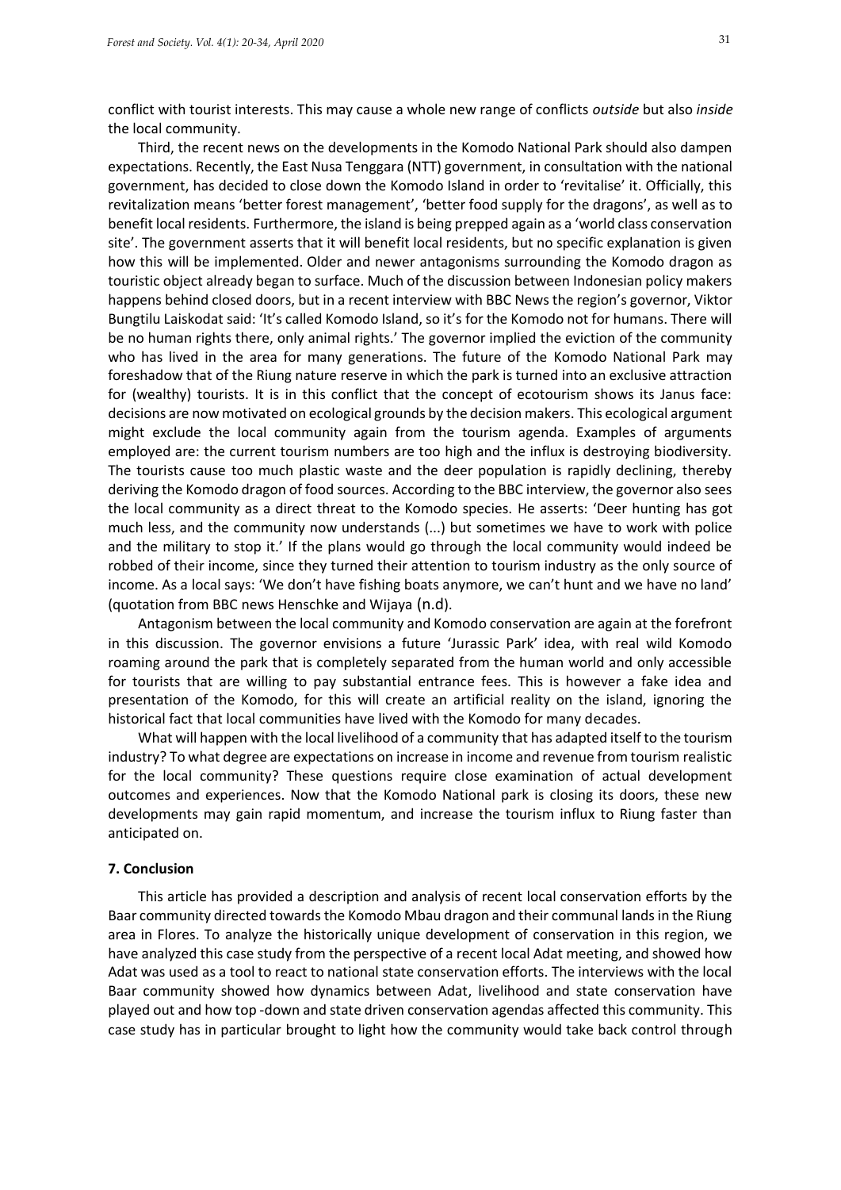conflict with tourist interests. This may cause a whole new range of conflicts *outside* but also *inside*  the local community.

Third, the recent news on the developments in the Komodo National Park should also dampen expectations. Recently, the East Nusa Tenggara (NTT) government, in consultation with the national government, has decided to close down the Komodo Island in order to 'revitalise' it. Officially, this revitalization means 'better forest management', 'better food supply for the dragons', as well as to benefit local residents. Furthermore, the island is being prepped again as a 'world class conservation site'. The government asserts that it will benefit local residents, but no specific explanation is given how this will be implemented. Older and newer antagonisms surrounding the Komodo dragon as touristic object already began to surface. Much of the discussion between Indonesian policy makers happens behind closed doors, but in a recent interview with BBC News the region's governor, Viktor Bungtilu Laiskodat said: 'It's called Komodo Island, so it's for the Komodo not for humans. There will be no human rights there, only animal rights.' The governor implied the eviction of the community who has lived in the area for many generations. The future of the Komodo National Park may foreshadow that of the Riung nature reserve in which the park is turned into an exclusive attraction for (wealthy) tourists. It is in this conflict that the concept of ecotourism shows its Janus face: decisions are now motivated on ecological grounds by the decision makers. This ecological argument might exclude the local community again from the tourism agenda. Examples of arguments employed are: the current tourism numbers are too high and the influx is destroying biodiversity. The tourists cause too much plastic waste and the deer population is rapidly declining, thereby deriving the Komodo dragon of food sources. According to the BBC interview, the governor also sees the local community as a direct threat to the Komodo species. He asserts: 'Deer hunting has got much less, and the community now understands (...) but sometimes we have to work with police and the military to stop it.' If the plans would go through the local community would indeed be robbed of their income, since they turned their attention to tourism industry as the only source of income. As a local says: 'We don't have fishing boats anymore, we can't hunt and we have no land' (quotation from BBC news Henschke and Wijaya (n.d).

Antagonism between the local community and Komodo conservation are again at the forefront in this discussion. The governor envisions a future 'Jurassic Park' idea, with real wild Komodo roaming around the park that is completely separated from the human world and only accessible for tourists that are willing to pay substantial entrance fees. This is however a fake idea and presentation of the Komodo, for this will create an artificial reality on the island, ignoring the historical fact that local communities have lived with the Komodo for many decades.

What will happen with the local livelihood of a community that has adapted itself to the tourism industry? To what degree are expectations on increase in income and revenue from tourism realistic for the local community? These questions require close examination of actual development outcomes and experiences. Now that the Komodo National park is closing its doors, these new developments may gain rapid momentum, and increase the tourism influx to Riung faster than anticipated on.

#### **7. Conclusion**

This article has provided a description and analysis of recent local conservation efforts by the Baar community directed towards the Komodo Mbau dragon and their communal lands in the Riung area in Flores. To analyze the historically unique development of conservation in this region, we have analyzed this case study from the perspective of a recent local Adat meeting, and showed how Adat was used as a tool to react to national state conservation efforts. The interviews with the local Baar community showed how dynamics between Adat, livelihood and state conservation have played out and how top -down and state driven conservation agendas affected this community. This case study has in particular brought to light how the community would take back control through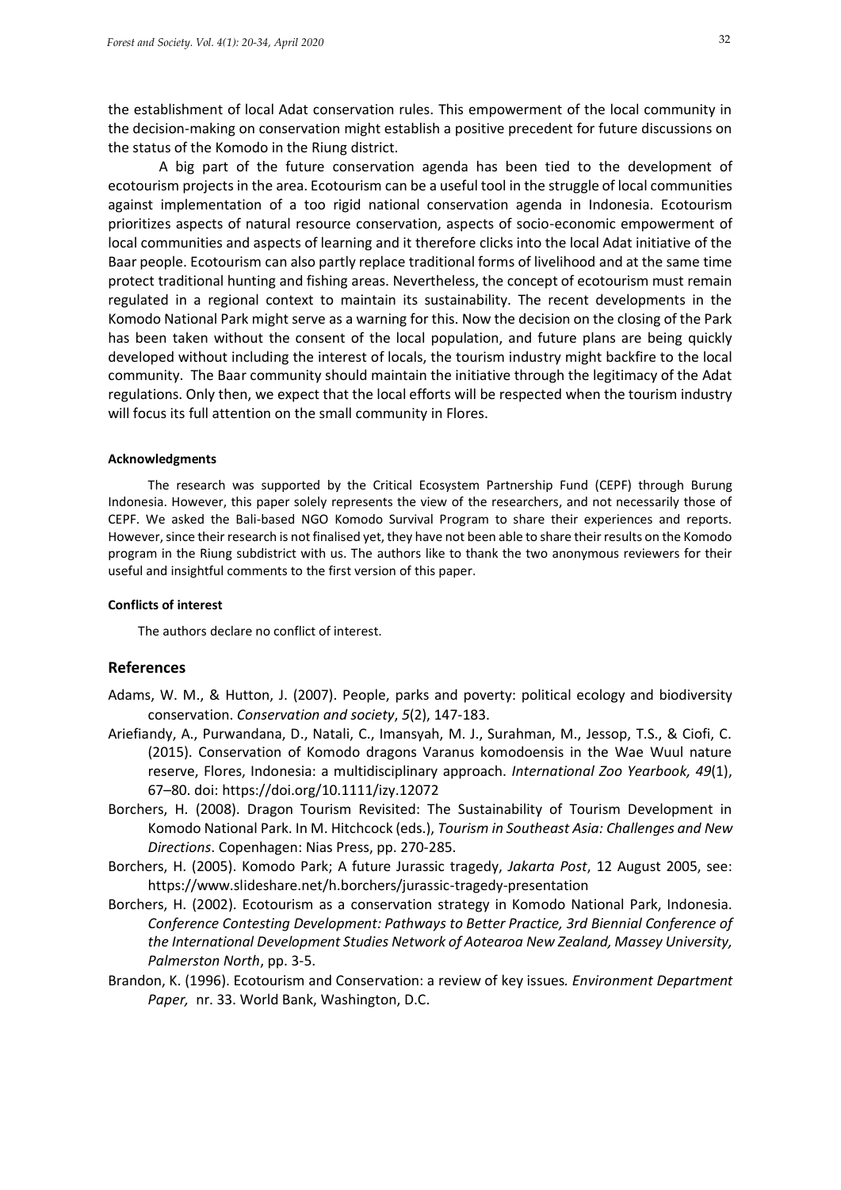the establishment of local Adat conservation rules. This empowerment of the local community in the decision-making on conservation might establish a positive precedent for future discussions on the status of the Komodo in the Riung district.

A big part of the future conservation agenda has been tied to the development of ecotourism projects in the area. Ecotourism can be a useful tool in the struggle of local communities against implementation of a too rigid national conservation agenda in Indonesia. Ecotourism prioritizes aspects of natural resource conservation, aspects of socio-economic empowerment of local communities and aspects of learning and it therefore clicks into the local Adat initiative of the Baar people. Ecotourism can also partly replace traditional forms of livelihood and at the same time protect traditional hunting and fishing areas. Nevertheless, the concept of ecotourism must remain regulated in a regional context to maintain its sustainability. The recent developments in the Komodo National Park might serve as a warning for this. Now the decision on the closing of the Park has been taken without the consent of the local population, and future plans are being quickly developed without including the interest of locals, the tourism industry might backfire to the local community. The Baar community should maintain the initiative through the legitimacy of the Adat regulations. Only then, we expect that the local efforts will be respected when the tourism industry will focus its full attention on the small community in Flores.

#### **Acknowledgments**

The research was supported by the Critical Ecosystem Partnership Fund (CEPF) through Burung Indonesia. However, this paper solely represents the view of the researchers, and not necessarily those of CEPF. We asked the Bali-based NGO Komodo Survival Program to share their experiences and reports. However, since their research is not finalised yet, they have not been able to share their results on the Komodo program in the Riung subdistrict with us. The authors like to thank the two anonymous reviewers for their useful and insightful comments to the first version of this paper.

#### **Conflicts of interest**

The authors declare no conflict of interest.

# **References**

- Adams, W. M., & Hutton, J. (2007). People, parks and poverty: political ecology and biodiversity conservation. *Conservation and society*, *5*(2), 147-183.
- Ariefiandy, A., Purwandana, D., Natali, C., Imansyah, M. J., Surahman, M., Jessop, T.S., & Ciofi, C. (2015). Conservation of Komodo dragons Varanus komodoensis in the Wae Wuul nature reserve, Flores, Indonesia: a multidisciplinary approach. *International Zoo Yearbook, 49*(1), 67–80. doi:<https://doi.org/10.1111/izy.12072>
- Borchers, H. (2008). Dragon Tourism Revisited: The Sustainability of Tourism Development in Komodo National Park. In M. Hitchcock (eds.), *Tourism in Southeast Asia: Challenges and New Directions*. Copenhagen: Nias Press, pp. 270-285.
- Borchers, H. (2005). Komodo Park; A future Jurassic tragedy, *Jakarta Post*, 12 August 2005, see: https://www.slideshare.net/h.borchers/jurassic-tragedy-presentation
- Borchers, H. (2002). Ecotourism as a conservation strategy in Komodo National Park, Indonesia. *Conference Contesting Development: Pathways to Better Practice, 3rd Biennial Conference of the International Development Studies Network of Aotearoa New Zealand, Massey University, Palmerston North*, pp. 3-5.
- Brandon, K. (1996). Ecotourism and Conservation: a review of key issues*. Environment Department Paper,* nr. 33. World Bank, Washington, D.C.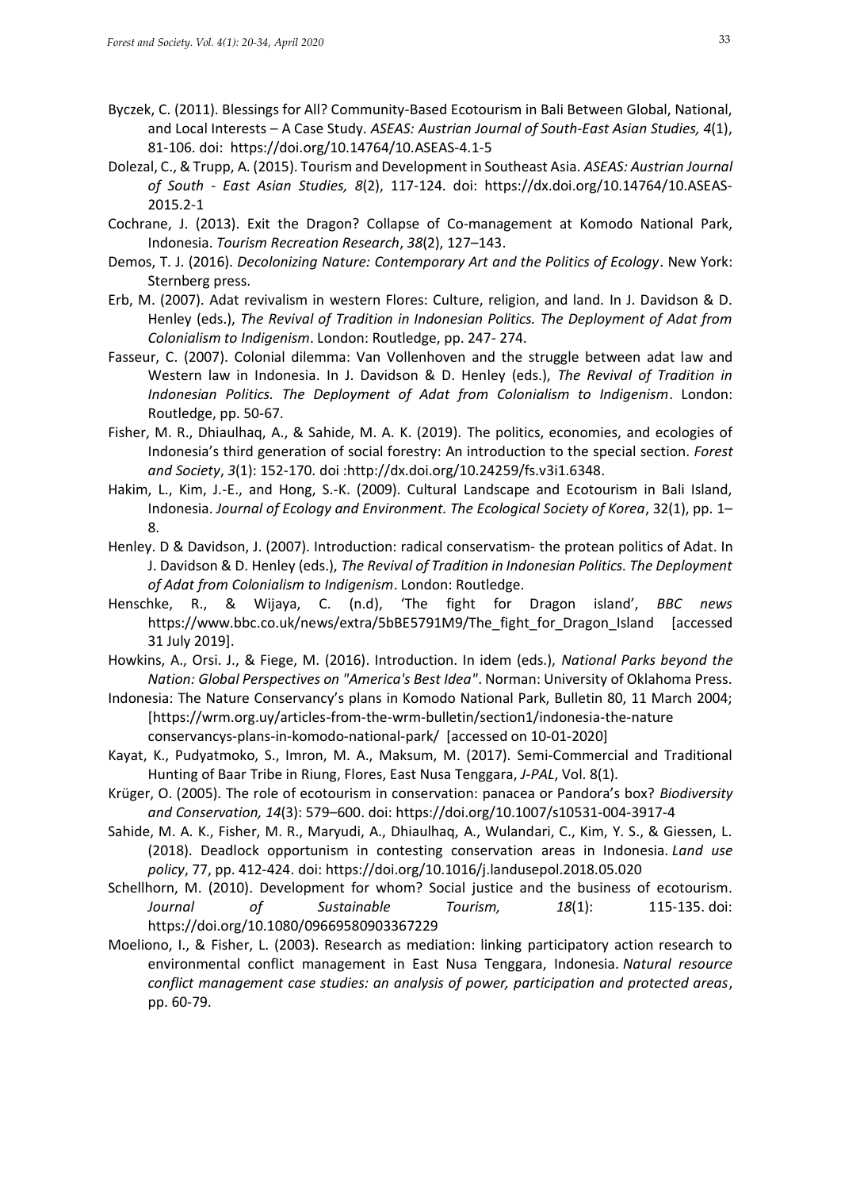- Byczek, C. (2011). Blessings for All? Community-Based Ecotourism in Bali Between Global, National, and Local Interests – A Case Study. *ASEAS: Austrian Journal of South-East Asian Studies, 4*(1), 81-106. doi: <https://doi.org/10.14764/10.ASEAS-4.1-5>
- Dolezal, C., & Trupp, A. (2015). Tourism and Development in Southeast Asia. *ASEAS: Austrian Journal of South - East Asian Studies, 8*(2), 117-124. doi: [https://dx.doi.org/10.14764/10.ASEAS-](https://dx.doi.org/10.14764/10.ASEAS-2015.2-1)[2015.2-1](https://dx.doi.org/10.14764/10.ASEAS-2015.2-1)
- Cochrane, J. (2013). Exit the Dragon? Collapse of Co-management at Komodo National Park, Indonesia. *Tourism Recreation Research*, *38*(2), 127–143.
- Demos, T. J. (2016). *Decolonizing Nature: Contemporary Art and the Politics of Ecology*. New York: Sternberg press.
- Erb, M. (2007). Adat revivalism in western Flores: Culture, religion, and land. In J. Davidson & D. Henley (eds.), *The Revival of Tradition in Indonesian Politics. The Deployment of Adat from Colonialism to Indigenism*. London: Routledge, pp. 247- 274.
- Fasseur, C. (2007). Colonial dilemma: Van Vollenhoven and the struggle between adat law and Western law in Indonesia. In J. Davidson & D. Henley (eds.), *The Revival of Tradition in Indonesian Politics. The Deployment of Adat from Colonialism to Indigenism*. London: Routledge, pp. 50-67.
- Fisher, M. R., Dhiaulhaq, A., & Sahide, M. A. K. (2019). The politics, economies, and ecologies of Indonesia's third generation of social forestry: An introduction to the special section. *Forest and Society*, *3*(1): 152-170. doi [:http://dx.doi.org/10.24259/fs.v3i1.6348.](http://dx.doi.org/10.24259/fs.v3i1.6348)
- Hakim, L., Kim, J.-E., and Hong, S.-K. (2009). Cultural Landscape and Ecotourism in Bali Island, Indonesia. *Journal of Ecology and Environment. The Ecological Society of Korea*, 32(1), pp. 1– 8.
- Henley. D & Davidson, J. (2007). Introduction: radical conservatism- the protean politics of Adat. In J. Davidson & D. Henley (eds.), *The Revival of Tradition in Indonesian Politics. The Deployment of Adat from Colonialism to Indigenism*. London: Routledge.
- Henschke, R., & Wijaya, C. (n.d), 'The fight for Dragon island', *BBC news* [https://www.bbc.co.uk/news/extra/5bBE5791M9/The\\_fight\\_for\\_Dragon\\_Island](https://www.bbc.co.uk/news/extra/5bBE5791M9/The_fight_for_Dragon_Island) [accessed 31 July 2019].
- Howkins, A., Orsi. J., & Fiege, M. (2016). Introduction. In idem (eds.), *National Parks beyond the Nation: Global Perspectives on "America's Best Idea"*. Norman: University of Oklahoma Press.
- Indonesia: The Nature Conservancy's plans in Komodo National Park, Bulletin 80, 11 March 2004; [\[https://wrm.org.uy/articles-from-the-wrm-bulletin/section1/indonesia-the-nature](https://wrm.org.uy/articles-from-the-wrm-bulletin/section1/indonesia-the-nature%20%20%20%20conservancys-plans-in-komodo-national-park/)  [conservancys-plans-in-komodo-national-park/](https://wrm.org.uy/articles-from-the-wrm-bulletin/section1/indonesia-the-nature%20%20%20%20conservancys-plans-in-komodo-national-park/) [accessed on 10-01-2020]
- Kayat, K., Pudyatmoko, S., Imron, M. A., Maksum, M. (2017). Semi-Commercial and Traditional Hunting of Baar Tribe in Riung, Flores, East Nusa Tenggara, *J-PAL*, Vol. 8(1).
- Krüger, O. (2005). The role of ecotourism in conservation: panacea or Pandora's box? *Biodiversity and Conservation, 14*(3): 579–600. doi:<https://doi.org/10.1007/s10531-004-3917-4>
- Sahide, M. A. K., Fisher, M. R., Maryudi, A., Dhiaulhaq, A., Wulandari, C., Kim, Y. S., & Giessen, L. (2018). Deadlock opportunism in contesting conservation areas in Indonesia. *Land use policy*, 77, pp. 412-424. doi: <https://doi.org/10.1016/j.landusepol.2018.05.020>
- Schellhorn, M. (2010). Development for whom? Social justice and the business of ecotourism. *Journal of Sustainable Tourism, 18*(1): 115-135. doi: <https://doi.org/10.1080/09669580903367229>
- Moeliono, I., & Fisher, L. (2003). Research as mediation: linking participatory action research to environmental conflict management in East Nusa Tenggara, Indonesia. *Natural resource conflict management case studies: an analysis of power, participation and protected areas*, pp. 60-79.